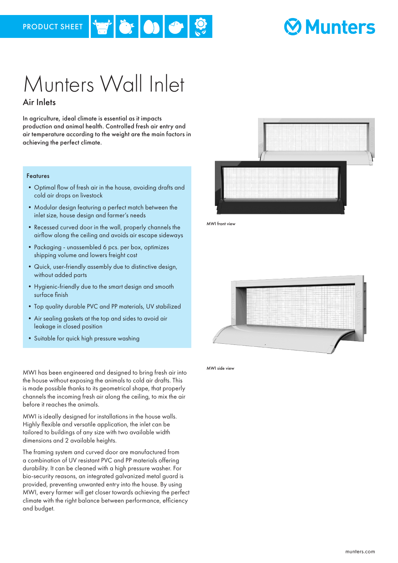## **Munters**

### Munters Wall Inlet Air Inlets

 $\bullet$  olt

In agriculture, ideal climate is essential as it impacts production and animal health. Controlled fresh air entry and air temperature according to the weight are the main factors in achieving the perfect climate.

#### Features

- •Optimal flow of fresh air in the house, avoiding drafts and cold air drops on livestock
- •Modular design featuring a perfect match between the inlet size, house design and farmer's needs
- •Recessed curved door in the wall, properly channels the airflow along the ceiling and avoids air escape sideways
- Packaging unassembled 6 pcs. per box, optimizes shipping volume and lowers freight cost
- •Quick, user-friendly assembly due to distinctive design, without added parts
- •Hygienic-friendly due to the smart design and smooth surface finish
- •Top quality durable PVC and PP materials, UV stabilized
- •Air sealing gaskets at the top and sides to avoid air leakage in closed position
- •Suitable for quick high pressure washing

MWI has been engineered and designed to bring fresh air into the house without exposing the animals to cold air drafts. This is made possible thanks to its geometrical shape, that properly channels the incoming fresh air along the ceiling, to mix the air before it reaches the animals.

MWI is ideally designed for installations in the house walls. Highly flexible and versatile application, the inlet can be tailored to buildings of any size with two available width dimensions and 2 available heights.

The framing system and curved door are manufactured from a combination of UV resistant PVC and PP materials offering durability. It can be cleaned with a high pressure washer. For bio-security reasons, an integrated galvanized metal guard is provided, preventing unwanted entry into the house. By using MWI, every farmer will get closer towards achieving the perfect climate with the right balance between performance, efficiency and budget.



MWI front view



MWI side view